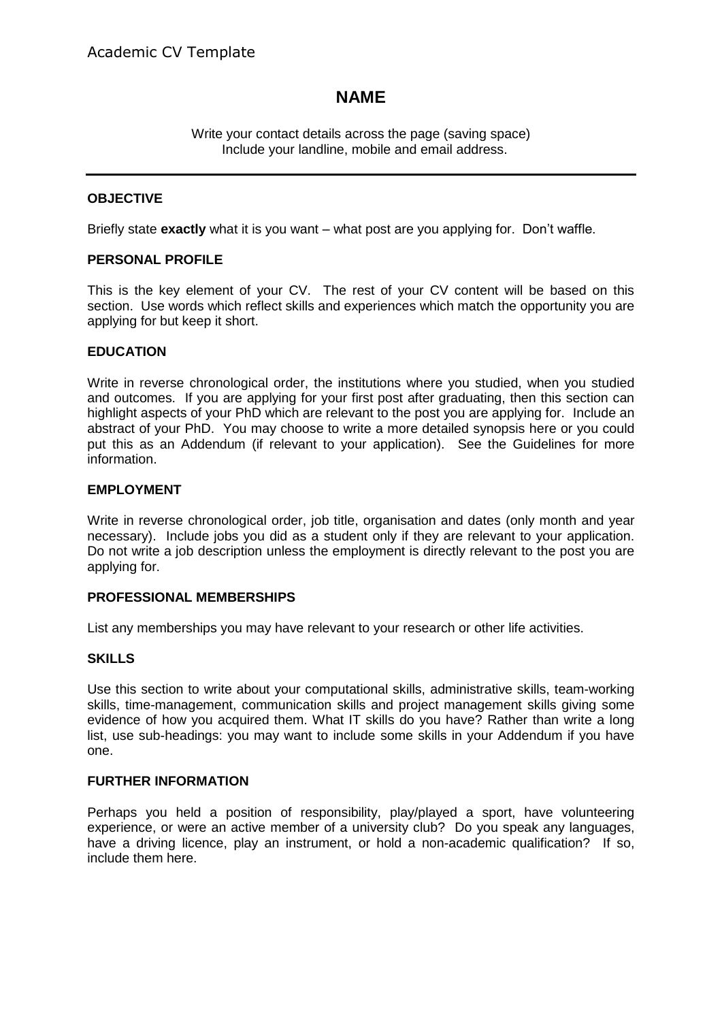# **NAME**

Write your contact details across the page (saving space) Include your landline, mobile and email address.

### **OBJECTIVE**

Briefly state **exactly** what it is you want – what post are you applying for. Don't waffle.

### **PERSONAL PROFILE**

This is the key element of your CV. The rest of your CV content will be based on this section. Use words which reflect skills and experiences which match the opportunity you are applying for but keep it short.

### **EDUCATION**

Write in reverse chronological order, the institutions where you studied, when you studied and outcomes. If you are applying for your first post after graduating, then this section can highlight aspects of your PhD which are relevant to the post you are applying for. Include an abstract of your PhD. You may choose to write a more detailed synopsis here or you could put this as an Addendum (if relevant to your application). See the Guidelines for more information.

#### **EMPLOYMENT**

Write in reverse chronological order, job title, organisation and dates (only month and year necessary). Include jobs you did as a student only if they are relevant to your application. Do not write a job description unless the employment is directly relevant to the post you are applying for.

### **PROFESSIONAL MEMBERSHIPS**

List any memberships you may have relevant to your research or other life activities.

### **SKILLS**

Use this section to write about your computational skills, administrative skills, team-working skills, time-management, communication skills and project management skills giving some evidence of how you acquired them. What IT skills do you have? Rather than write a long list, use sub-headings: you may want to include some skills in your Addendum if you have one.

#### **FURTHER INFORMATION**

Perhaps you held a position of responsibility, play/played a sport, have volunteering experience, or were an active member of a university club? Do you speak any languages, have a driving licence, play an instrument, or hold a non-academic qualification? If so, include them here.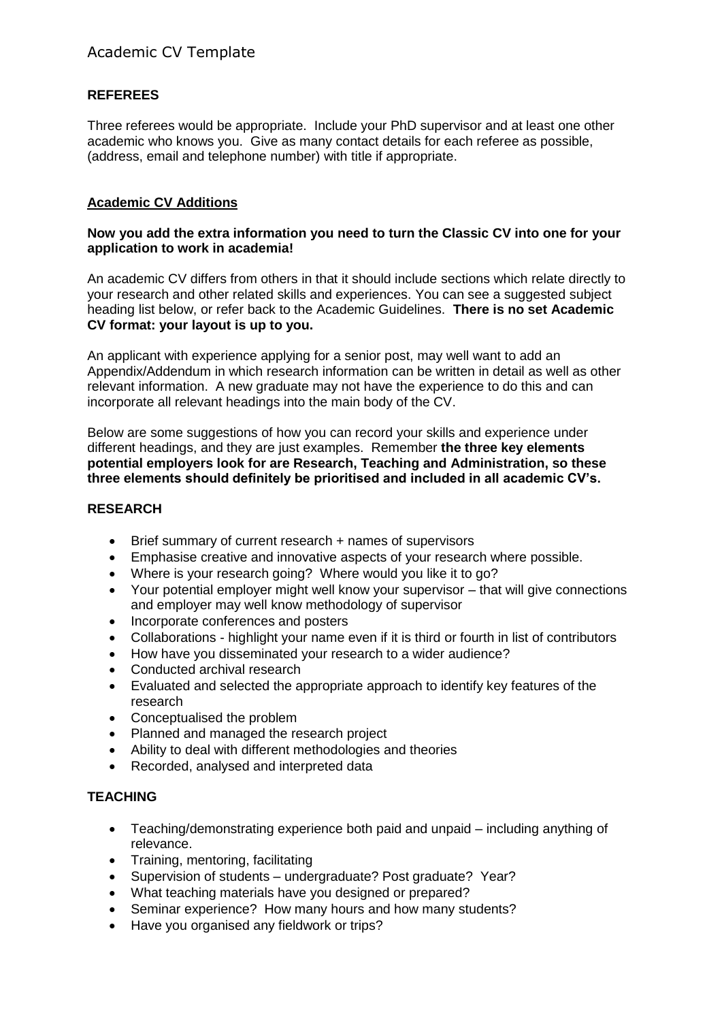# **REFEREES**

Three referees would be appropriate. Include your PhD supervisor and at least one other academic who knows you. Give as many contact details for each referee as possible, (address, email and telephone number) with title if appropriate.

## **Academic CV Additions**

### **Now you add the extra information you need to turn the Classic CV into one for your application to work in academia!**

An academic CV differs from others in that it should include sections which relate directly to your research and other related skills and experiences. You can see a suggested subject heading list below, or refer back to the Academic Guidelines. **There is no set Academic CV format: your layout is up to you.** 

An applicant with experience applying for a senior post, may well want to add an Appendix/Addendum in which research information can be written in detail as well as other relevant information. A new graduate may not have the experience to do this and can incorporate all relevant headings into the main body of the CV.

Below are some suggestions of how you can record your skills and experience under different headings, and they are just examples. Remember **the three key elements potential employers look for are Research, Teaching and Administration, so these three elements should definitely be prioritised and included in all academic CV's.** 

### **RESEARCH**

- Brief summary of current research + names of supervisors
- Emphasise creative and innovative aspects of your research where possible.
- Where is your research going? Where would you like it to go?
- Your potential employer might well know your supervisor that will give connections and employer may well know methodology of supervisor
- Incorporate conferences and posters
- Collaborations highlight your name even if it is third or fourth in list of contributors
- How have you disseminated your research to a wider audience?
- Conducted archival research
- Evaluated and selected the appropriate approach to identify key features of the research
- Conceptualised the problem
- Planned and managed the research project
- Ability to deal with different methodologies and theories
- Recorded, analysed and interpreted data

### **TEACHING**

- Teaching/demonstrating experience both paid and unpaid including anything of relevance.
- Training, mentoring, facilitating
- Supervision of students undergraduate? Post graduate? Year?
- What teaching materials have you designed or prepared?
- Seminar experience? How many hours and how many students?
- Have you organised any fieldwork or trips?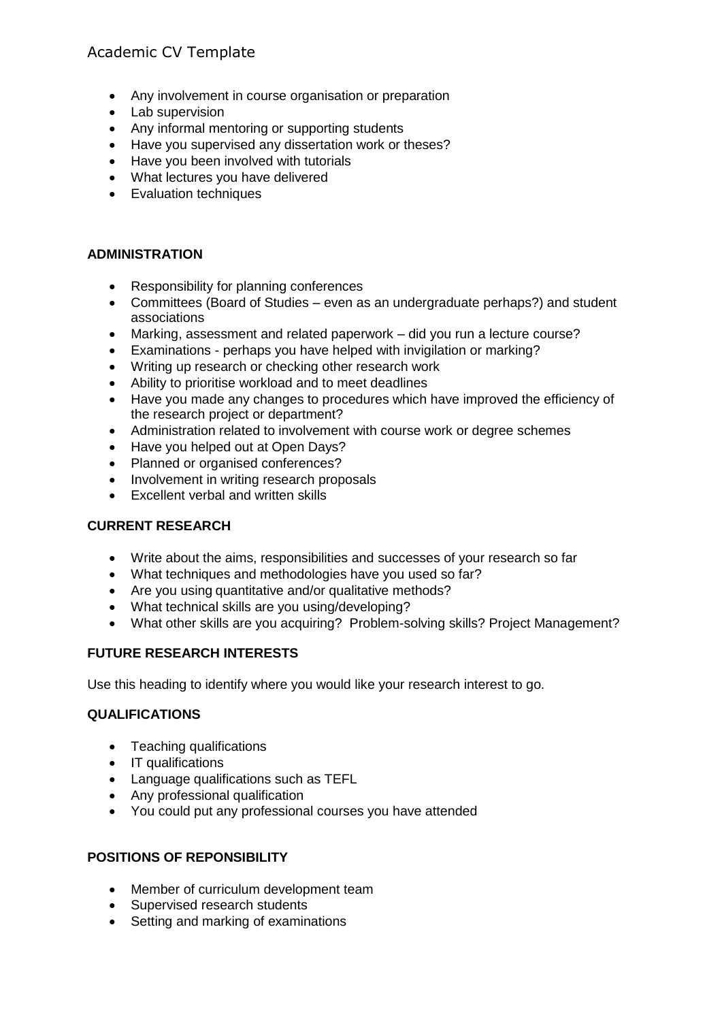# Academic CV Template

- Any involvement in course organisation or preparation
- Lab supervision
- Any informal mentoring or supporting students
- Have you supervised any dissertation work or theses?
- Have you been involved with tutorials
- What lectures you have delivered
- Evaluation techniques

## **ADMINISTRATION**

- Responsibility for planning conferences
- Committees (Board of Studies even as an undergraduate perhaps?) and student associations
- Marking, assessment and related paperwork did you run a lecture course?
- Examinations perhaps you have helped with invigilation or marking?
- Writing up research or checking other research work
- Ability to prioritise workload and to meet deadlines
- Have you made any changes to procedures which have improved the efficiency of the research project or department?
- Administration related to involvement with course work or degree schemes
- Have you helped out at Open Days?
- Planned or organised conferences?
- Involvement in writing research proposals
- Excellent verbal and written skills

### **CURRENT RESEARCH**

- Write about the aims, responsibilities and successes of your research so far
- What techniques and methodologies have you used so far?
- Are you using quantitative and/or qualitative methods?
- What technical skills are you using/developing?
- What other skills are you acquiring? Problem-solving skills? Project Management?

## **FUTURE RESEARCH INTERESTS**

Use this heading to identify where you would like your research interest to go.

## **QUALIFICATIONS**

- Teaching qualifications
- IT qualifications
- Language qualifications such as TEFL
- Any professional qualification
- You could put any professional courses you have attended

## **POSITIONS OF REPONSIBILITY**

- Member of curriculum development team
- Supervised research students
- Setting and marking of examinations